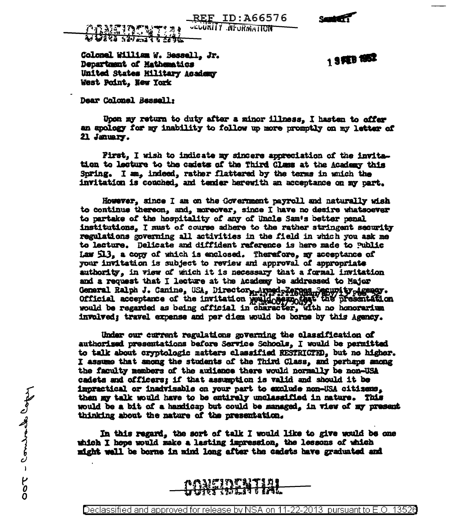REF ID:A66576

**Seattle** 

<u>arnethemet 19</u><br>U**uri 1951** (1966 **ULLURITY NEURMATION** 

Colonel William W. Bessell, Jr. Department of Mathematics United States Military Academy West Point. New York

1 SPEB 1952

Dear Colonel Bessell:

Upon my return to duty after a minor illness. I hasten to offer an apology for my inability to follow up more promptly on my letter of 21 January.

First. I wish to indicate my sincere appreciation of the invitation to lecture to the cadets of the Third Class at the Academy this Spring. I am. indeed, rather flattered by the terms in which the invitation is couched, and tender herewith an acceptance on my part.

However, since I am on the Government payroll and naturally wish to continue thereon, and, moreover, since I have no desire whatsoever to partake of the hospitality of any of Uncle Sam's better penal institutions. I must of course adhere to the rather stringent security regulations governing all activities in the field in which you ask me to lecture. Delicate and diffident reference is here made to Public Law 513, a copy of which is enclosed. Therefore, my acceptance of your invitation is subject to review and approval of appropriate authority, in view of which it is necessary that a formal invitation and a request that I lecture at the Academy be addressed to Major General Ralph J. Canine, USA, Director , Auned Republic Secupity , Agency. official acceptance of the invitation well company the presentation involved; travel expense and per diem would be borne by this Agency.

Under our current regulations governing the classification of authorised presentations before Service Schools, I would be permitted to talk about cryptologic matters classified RESTRICTED. but no higher. I assume that among the students of the Third Class, and perhaps among the faculty members of the auitence there would normally be non-USA cadets and officers: if that assumption is valid and should it be impractical or inadvisable on your part to exclude non-USA citizens. then my talk would have to be entirely unclassified in nature. This would be a bit of a handicap but could be managed, in view of my present thinking about the nature of the presentation.

In this regard, the sort of talk I would like to give would be one which I hope would make a lasting impression, the lessons of which might well be borne in mind long after the cadets have graduated and



Declassified and approved for release by NSA on 11-22-2013  $\,$  pursuant to E.O. 13526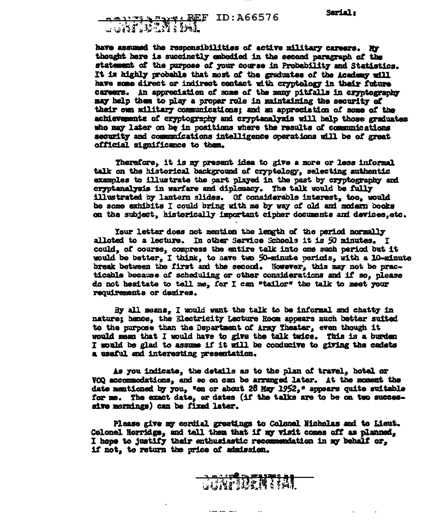## 

have assumed the responsibilities of active military careers. My thought here is succinetly embodied in the second paragraph of the statement of the purpose of your course in Probability and Statistics. It is highly probable that most of the graduates of the Academy will have some direct or indirect contact with cryptology in their future careers. An appreciation of some of the many pitfalls in cryptegraphy may help them to play a proper role in maintaining the security of their own military communications: and an appreciation of some of the achievements of cryptography and cryptanalysis will help those graduates who may later on be in positions where the results of communications security and communications intelligence operations will be of great official significance to them.

Therefore, it is my present idea to give a more or less informal talk on the historical background of cryptology, selecting authentic examples to illustrate the part played in the past by cryptography and cryptanalysis in warfare and diplomacy. The talk would be fully illustrated by lantern slides. Of considerable interest, too, would be some exhibits I could bring with me by way of old and modern books on the subject, historically important cipher documents and devices, etc.

Your letter does not mention the length of the period normally alloted to a lecture. In other Service Schools it is 50 minutes. I could, of course, compress the entire talk into one such period but it would be better. I think, to have two 50-minute periods, with a 10-minute break between the first and the second. However, this may not be practicable because of scheduling or other considerations and if so. please do not besitate to tell me, for I can "tailor" the talk to meet your requirements or desires.

By all means. I would want the talk to be informal and chatty in nature; hence, the Electricity Lecture Room appears much better suited to the purpose than the Department of Army Theater, even though it would mean that I would have to give the talk twice. This is a burden I would be glad to assume if it will be conducive to giving the cadets a useful and interesting presentation.

As you indicate, the details as to the plan of travel, hotel or VOQ accommodations, and so on can be arranged later. At the moment the date mentioned by you, "on or about 28 May 1952," appears quite suitable for me. The exact date, or dates (if the talks are to be on two successive mornings) can be fixed later.

Please give my cordial greetings to Colonal Nicholas and to Lieut. Colonel Horridge, and tell them that if my visit comes off as planned. I hope to justify their enthusiastic recommendation in my behalf or. if not, to return the price of admission.

Command State